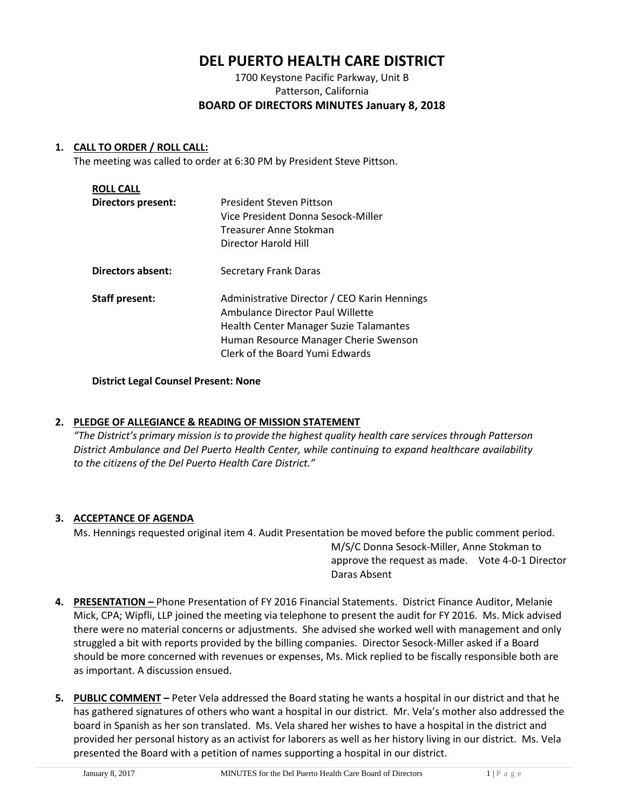# **DEL PUERTO HEALTH CARE DISTRICT**

## 1700 Keystone Pacific Parkway, Unit B Patterson, California **BOARD OF DIRECTORS MINUTES January 8, 2018**

## **1. CALL TO ORDER / ROLL CALL:**

The meeting was called to order at 6:30 PM by President Steve Pittson.

| <b>ROLL CALL</b>          |                                                                                                                                                                                                        |
|---------------------------|--------------------------------------------------------------------------------------------------------------------------------------------------------------------------------------------------------|
| <b>Directors present:</b> | President Steven Pittson<br>Vice President Donna Sesock-Miller<br>Treasurer Anne Stokman<br>Director Harold Hill                                                                                       |
| Directors absent:         | Secretary Frank Daras                                                                                                                                                                                  |
| <b>Staff present:</b>     | Administrative Director / CEO Karin Hennings<br>Ambulance Director Paul Willette<br>Health Center Manager Suzie Talamantes<br>Human Resource Manager Cherie Swenson<br>Clerk of the Board Yumi Edwards |

## **District Legal Counsel Present: None**

## **2. PLEDGE OF ALLEGIANCE & READING OF MISSION STATEMENT**

*"The District's primary mission is to provide the highest quality health care services through Patterson District Ambulance and Del Puerto Health Center, while continuing to expand healthcare availability to the citizens of the Del Puerto Health Care District."*

## **3. ACCEPTANCE OF AGENDA**

Ms. Hennings requested original item 4. Audit Presentation be moved before the public comment period. M/S/C Donna Sesock-Miller, Anne Stokman to approve the request as made. Vote 4-0-1 Director Daras Absent

- **4. PRESENTATION –** Phone Presentation of FY 2016 Financial Statements. District Finance Auditor, Melanie Mick, CPA; Wipfli, LLP joined the meeting via telephone to present the audit for FY 2016. Ms. Mick advised there were no material concerns or adjustments. She advised she worked well with management and only struggled a bit with reports provided by the billing companies. Director Sesock-Miller asked if a Board should be more concerned with revenues or expenses, Ms. Mick replied to be fiscally responsible both are as important. A discussion ensued.
- **5. PUBLIC COMMENT –** Peter Vela addressed the Board stating he wants a hospital in our district and that he has gathered signatures of others who want a hospital in our district. Mr. Vela's mother also addressed the board in Spanish as her son translated. Ms. Vela shared her wishes to have a hospital in the district and provided her personal history as an activist for laborers as well as her history living in our district. Ms. Vela presented the Board with a petition of names supporting a hospital in our district.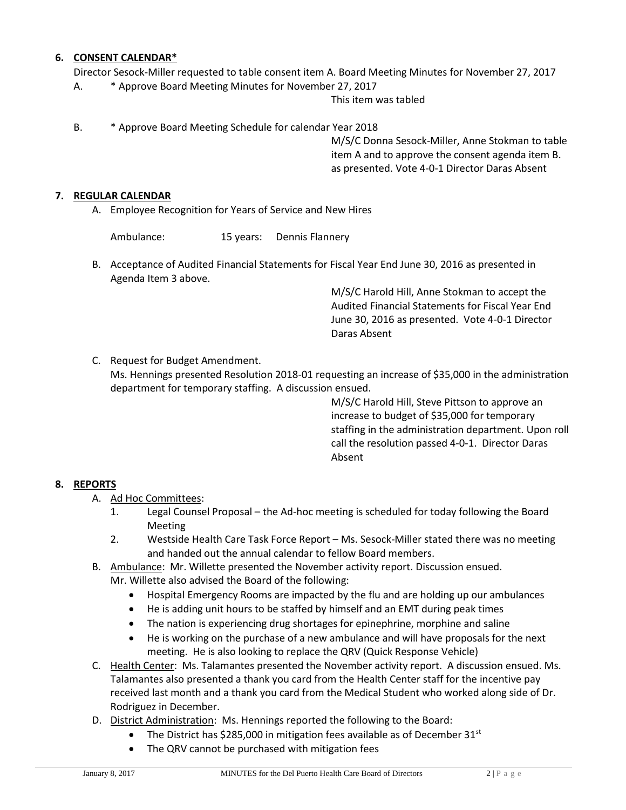## **6. CONSENT CALENDAR\***

Director Sesock-Miller requested to table consent item A. Board Meeting Minutes for November 27, 2017

A. \* Approve Board Meeting Minutes for November 27, 2017

This item was tabled

B. \* Approve Board Meeting Schedule for calendar Year 2018

M/S/C Donna Sesock-Miller, Anne Stokman to table item A and to approve the consent agenda item B. as presented. Vote 4-0-1 Director Daras Absent

#### **7. REGULAR CALENDAR**

A. Employee Recognition for Years of Service and New Hires

Ambulance: 15 years: Dennis Flannery

B. Acceptance of Audited Financial Statements for Fiscal Year End June 30, 2016 as presented in Agenda Item 3 above.

> M/S/C Harold Hill, Anne Stokman to accept the Audited Financial Statements for Fiscal Year End June 30, 2016 as presented. Vote 4-0-1 Director Daras Absent

C. Request for Budget Amendment.

Ms. Hennings presented Resolution 2018-01 requesting an increase of \$35,000 in the administration department for temporary staffing. A discussion ensued.

> M/S/C Harold Hill, Steve Pittson to approve an increase to budget of \$35,000 for temporary staffing in the administration department. Upon roll call the resolution passed 4-0-1. Director Daras Absent

## **8. REPORTS**

- A. Ad Hoc Committees:
	- 1. Legal Counsel Proposal the Ad-hoc meeting is scheduled for today following the Board Meeting
	- 2. Westside Health Care Task Force Report Ms. Sesock-Miller stated there was no meeting and handed out the annual calendar to fellow Board members.
- B. Ambulance: Mr. Willette presented the November activity report. Discussion ensued. Mr. Willette also advised the Board of the following:
	- Hospital Emergency Rooms are impacted by the flu and are holding up our ambulances
	- He is adding unit hours to be staffed by himself and an EMT during peak times
	- The nation is experiencing drug shortages for epinephrine, morphine and saline
	- He is working on the purchase of a new ambulance and will have proposals for the next meeting. He is also looking to replace the QRV (Quick Response Vehicle)
- C. Health Center: Ms. Talamantes presented the November activity report. A discussion ensued. Ms. Talamantes also presented a thank you card from the Health Center staff for the incentive pay received last month and a thank you card from the Medical Student who worked along side of Dr. Rodriguez in December.
- D. District Administration: Ms. Hennings reported the following to the Board:
	- The District has \$285,000 in mitigation fees available as of December  $31<sup>st</sup>$
	- The QRV cannot be purchased with mitigation fees